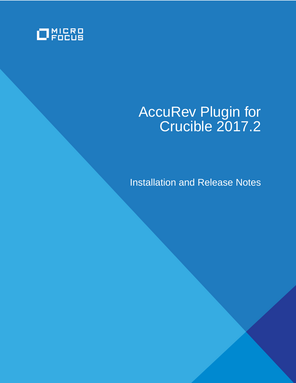

# AccuRev Plugin for Crucible 2017.2

Installation and Release Notes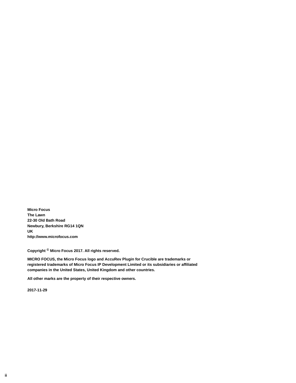**Micro Focus The Lawn 22-30 Old Bath Road Newbury, Berkshire RG14 1QN UK http://www.microfocus.com**

**Copyright © Micro Focus 2017. All rights reserved.**

**MICRO FOCUS, the Micro Focus logo and AccuRev Plugin for Crucible are trademarks or registered trademarks of Micro Focus IP Development Limited or its subsidiaries or affiliated companies in the United States, United Kingdom and other countries.**

**All other marks are the property of their respective owners.**

**2017-11-29**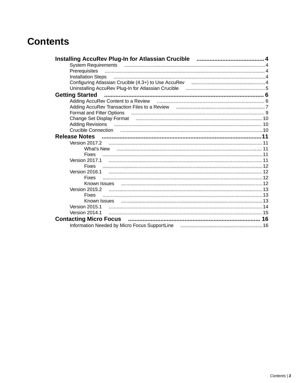## **Contents**

| Installation Steps www.communication.com/news/material/installation Steps www.com                                  |  |
|--------------------------------------------------------------------------------------------------------------------|--|
| Configuring Atlassian Crucible (4.3+) to Use AccuRev manufactured and the Atlassian Crucible (4.3+) to Use AccuRev |  |
|                                                                                                                    |  |
|                                                                                                                    |  |
|                                                                                                                    |  |
| Adding AccuRev Transaction Files to a Review manufactured and accuracy and 7                                       |  |
| Format and Filter Options (2008) [19] Format and Filter Options (2008) [19] Format and Filter Options (2009) [     |  |
| Change Set Display Format (2000) (2000) (2000) (2000) (2000) (2000) (2000) (2000) (2000) (2000) (2000) (2000) (    |  |
| Adding Revisions (and the continuum control of the control of the control of the control of the control of the     |  |
|                                                                                                                    |  |
| <b>Release Notes</b>                                                                                               |  |
|                                                                                                                    |  |
| What's New                                                                                                         |  |
| <b>Fixes</b>                                                                                                       |  |
|                                                                                                                    |  |
|                                                                                                                    |  |
| Version 2016.1                                                                                                     |  |
| <b>Fixes</b>                                                                                                       |  |
|                                                                                                                    |  |
|                                                                                                                    |  |
| <b>Fixes</b>                                                                                                       |  |
| Known Issues                                                                                                       |  |
| Version 2015.1                                                                                                     |  |
| Version 2014.1                                                                                                     |  |
|                                                                                                                    |  |
|                                                                                                                    |  |
|                                                                                                                    |  |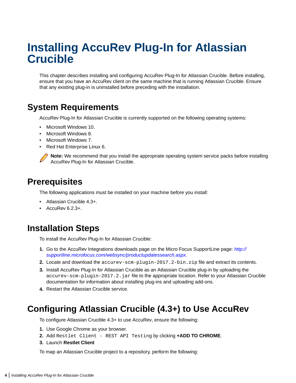# <span id="page-3-0"></span>**Installing AccuRev Plug-In for Atlassian Crucible**

This chapter describes installing and configuring AccuRev Plug-In for Atlassian Crucible. Before installing, ensure that you have an AccuRev client on the same machine that is running Atlassian Crucible. Ensure that any existing plug-in is uninstalled before preceding with the installation.

### **System Requirements**

AccuRev Plug-In for Atlassian Crucible is currently supported on the following operating systems:

- Microsoft Windows 10.
- Microsoft Windows 8.
- Microsoft Windows 7.
- Red Hat Enterprise Linux 6.

**Note:** We recommend that you install the appropriate operating system service packs before installing AccuRev Plug-In for Atlassian Crucible.

### **Prerequisites**

The following applications must be installed on your machine before you install:

- Atlassian Crucible 4.3+.
- AccuRev 6.2.3+.

### **Installation Steps**

To install the AccuRev Plug-In for Atlassian Crucible:

- **1.** Go to the AccuRev Integrations downloads page on the Micro Focus SupportLine page: [http://](http://supportline.microfocus.com/websync/productupdatessearch.aspx) [supportline.microfocus.com/websync/productupdatessearch.aspx](http://supportline.microfocus.com/websync/productupdatessearch.aspx).
- **2.** Locate and download the accurev-scm-plugin-2017.2-bin.zip file and extract its contents.
- **3.** Install AccuRev Plug-In for Atlassian Crucible as an Atlassian Crucible plug-in by uploading the accurev-scm-plugin-2017.2. jar file to the appropriate location. Refer to your Atlassian Crucible documentation for information about installing plug-ins and uploading add-ons.
- **4.** Restart the Atlassian Crucible service.

### **Configuring Atlassian Crucible (4.3+) to Use AccuRev**

To configure Atlassian Crucible 4.3+ to use AccuRev, ensure the following:

- **1.** Use Google Chrome as your browser.
- **2.** Add Restlet Client REST API Testing by clicking **+ADD TO CHROME**.
- **3.** Launch **Restlet Client**

To map an Atlassian Crucible project to a repository, perform the following: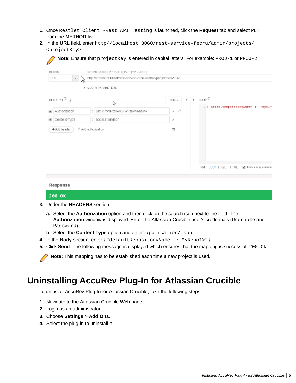- <span id="page-4-0"></span>**1.** Once Restlet Client -Rest API Testing is launched, click the **Request** tab and select PUT from the **METHOD** list.
- **2.** In the **URL** field, enter http//localhost:8060/rest-service-fecru/admin/projects/ <projectKey>.

|                                                    | SCHEME J/ HOST [*:* PORT] [ PATH [*?* QUERY ]]                 |                        |   |                               |                                                     |
|----------------------------------------------------|----------------------------------------------------------------|------------------------|---|-------------------------------|-----------------------------------------------------|
| PUT<br>$\overline{\phantom{a}}$                    | http://localhost 8060/rest-service-fecru/admin/projects/PROJ-1 |                        |   |                               |                                                     |
|                                                    | ▶ QUERY PARAMETERS                                             |                        |   |                               |                                                     |
| HEADERS $^{\circledcirc}$ $\downarrow \frac{6}{5}$ | ↳                                                              | Form =                 | 4 | $\triangleright$ BODY $\odot$ |                                                     |
| Authorization<br>$\overline{\mathscr{L}}$          | Basic YWRtaW46YWRtaW4xMjM=                                     | $\mathcal{S}$<br>$\gg$ |   |                               | l {"defaultRepositoryName" : "Repol"                |
| Content-Type                                       | application/json                                               | ×                      |   |                               |                                                     |
| + Add header                                       | P Add authorization                                            | 頂                      |   |                               |                                                     |
|                                                    |                                                                |                        |   |                               |                                                     |
|                                                    |                                                                |                        |   |                               |                                                     |
|                                                    |                                                                |                        |   |                               |                                                     |
|                                                    |                                                                |                        |   |                               | Text   JSON   XML   HTML<br>Finable body evaluation |
|                                                    |                                                                |                        |   |                               |                                                     |

#### 200 OK

- **3.** Under the **HEADERS** section:
	- **a.** Select the **Authorization** option and then click on the search icon next to the field. The **Authorization** window is displayed. Enter the Atlassian Crucible user's credentials (Username and Password).
	- **b.** Select the **Content Type** option and enter: application/json.
- **4.** In the **Body** section, enter {"defaultRepositoryName" : "<Repo1>"}.
- **5.** Click **Send**. The following message is displayed which ensures that the mapping is successful: 200 Ok.

**Note:** This mapping has to be established each time a new project is used.

### **Uninstalling AccuRev Plug-In for Atlassian Crucible**

To uninstall AccuRev Plug-In for Atlassian Crucible, take the following steps:

- **1.** Navigate to the Atlassian Crucible **Web** page.
- **2.** Login as an administrator.
- **3.** Choose **Settings** > **Add Ons**.
- **4.** Select the plug-in to uninstall it.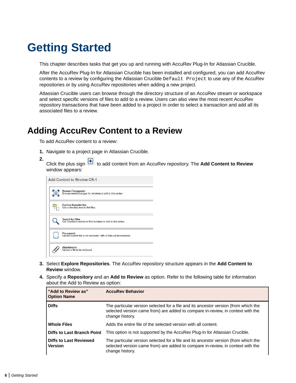# <span id="page-5-0"></span>**Getting Started**

This chapter describes tasks that get you up and running with AccuRev Plug-In for Atlassian Crucible.

After the AccuRev Plug-In for Atlassian Crucible has been installed and configured, you can add AccuRev contents to a review by configuring the Atlassian Crucible Default Project to use any of the AccuRev repositories or by using AccuRev repositories when adding a new project.

Atlassian Crucible users can browse through the directory structure of an AccuRev stream or workspace and select specific versions of files to add to a review. Users can also view the most recent AccuRev repository transactions that have been added to a project in order to select a transaction and add all its associated files to a review.

### **Adding AccuRev Content to a Review**

To add AccuRev content to a review:

- **1.** Navigate to a project page in Atlassian Crucible.
- **2.** Click the plus sign **+** to add content from an AccuRev repository. The **Add Content to Review** window appears:

| 旧 | Browse Changesets<br>Browse recent changes for revisions to add to this review           |
|---|------------------------------------------------------------------------------------------|
|   | <b>Explore Repositories</b><br>Use a directory tree to find files                        |
|   | <b>Search for Files</b><br>Use Crucible's search to find revisions to add to this review |
|   | Pre-commit<br>Upload a patch file to be reviewed - ciffs of files will be extracted      |
|   | <b>Attachments</b><br>Upload a file to be reviewed                                       |

- **3.** Select **Explore Repositories**. The AccuRev repository structure appears in the **Add Content to Review** window.
- **4.** Specify a **Repository** and an **Add to Review** as option. Refer to the following table for information about the Add to Review as option:

| "Add to Review as"<br><b>Option Name</b>        | <b>AccuRev Behavior</b>                                                                                                                                                                   |
|-------------------------------------------------|-------------------------------------------------------------------------------------------------------------------------------------------------------------------------------------------|
| <b>Diffs</b>                                    | The particular version selected for a file and its ancestor version (from which the<br>selected version came from) are added to compare in-review, in context with the<br>change history. |
| <b>Whole Files</b>                              | Adds the entire file of the selected version with all content.                                                                                                                            |
| <b>Diffs to Last Branch Point</b>               | This option is not supported by the AccuRev Plug-In for Atlassian Crucible.                                                                                                               |
| <b>Diffs to Last Reviewed</b><br><b>Version</b> | The particular version selected for a file and its ancestor version (from which the<br>selected version came from) are added to compare in-review, in context with the<br>change history. |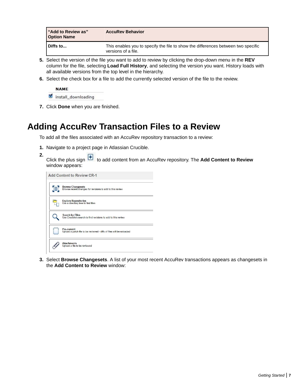<span id="page-6-0"></span>

| I "Add to Review as"<br><b>Option Name</b> | <b>AccuRev Behavior</b>                                                                                  |
|--------------------------------------------|----------------------------------------------------------------------------------------------------------|
| Diffs to                                   | This enables you to specify the file to show the differences between two specific<br>versions of a file. |

- **5.** Select the version of the file you want to add to review by clicking the drop-down menu in the **REV** column for the file, selecting **Load Full History**, and selecting the version you want. History loads with all available versions from the top level in the hierarchy.
- **6.** Select the check box for a file to add the currently selected version of the file to the review.

**NAME** install\_downloading

**7.** Click **Done** when you are finished.

## **Adding AccuRev Transaction Files to a Review**

To add all the files associated with an AccuRev repository transaction to a review:

- **1.** Navigate to a project page in Atlassian Crucible.
- **2.** Click the plus sign **t** to add content from an AccuRev repository. The **Add Content to Review** window appears:

| 旧 | Browse Changesets<br>Browse recent changes for revisions to add to this review           |
|---|------------------------------------------------------------------------------------------|
|   | <b>Explore Repositories</b><br>Use a directory tree to find files                        |
|   | <b>Search for Files</b><br>Use Crucible's search to find revisions to add to this review |
|   | Pre-commit<br>Upload a patch file to be reviewed - clffs of files will be extracted      |
|   | <b>Attachments</b><br>Upload a file to be reviewed                                       |

**3.** Select **Browse Changesets**. A list of your most recent AccuRev transactions appears as changesets in the **Add Content to Review** window: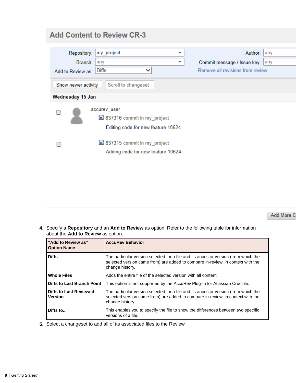| <b>Add Content to Review CR-3</b>             |                                                                                      |                                                                                          |  |
|-----------------------------------------------|--------------------------------------------------------------------------------------|------------------------------------------------------------------------------------------|--|
| Repository:<br>Branch:  <br>Add to Review as: | my_project<br>any<br>$\overline{\phantom{a}}$<br><b>Diffs</b><br>$\checkmark$        | Author:<br>lany<br>Commit message / Issue key:   any<br>Remove all revisions from review |  |
| Show newer activity<br>Scroll to changeset    |                                                                                      |                                                                                          |  |
| Wednesday 15 Jan                              |                                                                                      |                                                                                          |  |
|                                               | accurev user<br>13 837316 commit in my_project<br>Editing code for new feature 10624 |                                                                                          |  |
|                                               | 337315 commit in my project<br>Adding code for new feature 10624                     |                                                                                          |  |

Add More C

**4.** Specify a **Repository** and an **Add to Review** as option. Refer to the following table for information about the **Add to Review** as option:

| "Add to Review as"<br><b>Option Name</b>        | <b>AccuRev Behavior</b>                                                                                                                                                                   |
|-------------------------------------------------|-------------------------------------------------------------------------------------------------------------------------------------------------------------------------------------------|
| <b>Diffs</b>                                    | The particular version selected for a file and its ancestor version (from which the<br>selected version came from) are added to compare in-review, in context with the<br>change history. |
| <b>Whole Files</b>                              | Adds the entire file of the selected version with all content.                                                                                                                            |
| <b>Diffs to Last Branch Point</b>               | This option is not supported by the AccuRev Plug-In for Atlassian Crucible.                                                                                                               |
| <b>Diffs to Last Reviewed</b><br><b>Version</b> | The particular version selected for a file and its ancestor version (from which the<br>selected version came from) are added to compare in-review, in context with the<br>change history. |
| Diffs to                                        | This enables you to specify the file to show the differences between two specific<br>versions of a file.                                                                                  |

**5.** Select a changeset to add all of its associated files to the Review.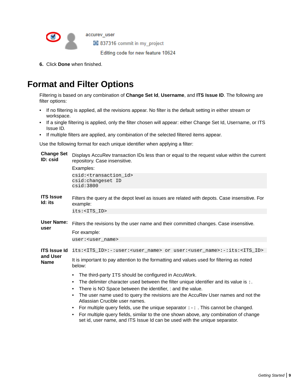

337316 commit in my project

Editing code for new feature 10624

**6.** Click **Done** when finished.

<span id="page-8-0"></span> $\bullet$ 

## **Format and Filter Options**

Filtering is based on any combination of **Change Set Id**, **Username**, and **ITS Issue ID**. The following are filter options:

- If no filtering is applied, all the revisions appear. No filter is the default setting in either stream or workspace.
- If a single filtering is applied, only the filter chosen will appear: either Change Set Id, Username, or ITS Issue ID.
- If multiple filters are applied, any combination of the selected filtered items appear.

Use the following format for each unique identifier when applying a filter:

| <b>Change Set</b><br>ID: csid | Displays AccuRev transaction IDs less than or equal to the request value within the current<br>repository. Case insensitive.<br>Examples:                               |  |  |
|-------------------------------|-------------------------------------------------------------------------------------------------------------------------------------------------------------------------|--|--|
|                               | csid: <transaction_id><br/>csid: changeset ID<br/>csid:3800</transaction_id>                                                                                            |  |  |
| <b>ITS Issue</b><br>Id: its   | Filters the query at the depot level as issues are related with depots. Case insensitive. For<br>example:                                                               |  |  |
|                               | its: <its_id></its_id>                                                                                                                                                  |  |  |
| User Name:<br>user            | Filters the revisions by the user name and their committed changes. Case insensitive.                                                                                   |  |  |
|                               | For example:                                                                                                                                                            |  |  |
|                               | user: <user name=""></user>                                                                                                                                             |  |  |
| <b>ITS Issue Id</b>           | its: <its_id>:-:user:<user_name> or user:<user_name>:-:its:<its_id></its_id></user_name></user_name></its_id>                                                           |  |  |
| and User                      |                                                                                                                                                                         |  |  |
| <b>Name</b>                   | It is important to pay attention to the formatting and values used for filtering as noted<br>below:                                                                     |  |  |
|                               | The third-party ITS should be configured in AccuWork.<br>$\bullet$                                                                                                      |  |  |
|                               | The delimiter character used between the filter unique identifier and its value is $\cdot$ .<br>$\bullet$                                                               |  |  |
|                               | There is NO Space between the identifier, : and the value.<br>$\bullet$                                                                                                 |  |  |
|                               | The user name used to query the revisions are the AccuRev User names and not the<br>٠<br>Atlassian Crucible user names.                                                 |  |  |
|                               | For multiple query fields, use the unique separator $\cdot - \cdot$ . This cannot be changed.<br>$\bullet$                                                              |  |  |
|                               | For multiple query fields, similar to the one shown above, any combination of change<br>٠<br>set id, user name, and ITS Issue Id can be used with the unique separator. |  |  |
|                               |                                                                                                                                                                         |  |  |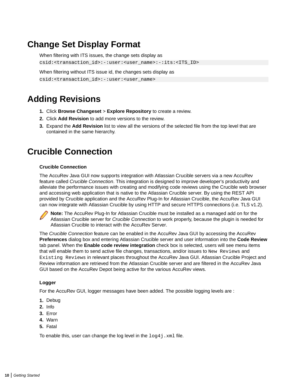## <span id="page-9-0"></span>**Change Set Display Format**

When filtering with ITS issues, the change sets display as csid:<transaction\_id>:-:user:<user\_name>:-:its:<ITS\_ID>

When filtering without ITS issue id, the changes sets display as csid:<transaction\_id>:-:user:<user\_name>

## **Adding Revisions**

- **1.** Click **Browse Changeset** > **Explore Repository** to create a review.
- **2.** Click **Add Revision** to add more versions to the review.
- **3.** Expand the **Add Revision** list to view all the versions of the selected file from the top level that are contained in the same hierarchy.

## **Crucible Connection**

#### **Crucible Connection**

The AccuRev Java GUI now supports integration with Atlassian Crucible servers via a new AccuRev feature called Crucible Connection. This integration is designed to improve developer's productivity and alleviate the performance issues with creating and modifying code reviews using the Crucible web browser and accessing web application that is native to the Atlassian Crucible server. By using the REST API provided by Crucible application and the AccuRev Plug-In for Atlassian Crucible, the AccuRev Java GUI can now integrate with Atlassian Crucible by using HTTP and secure HTTPS connections (i.e. TLS v1.2).

**Note:** The AccuRev Plug-In for Atlassian Crucible must be installed as a managed add on for the Atlassian Crucible server for Crucible Connection to work properly, because the plugin is needed for Atlassian Crucible to interact with the AccuRev Server.

The Crucible Connection feature can be enabled in the AccuRev Java GUI by accessing the AccuRev **Preferences** dialog box and entering Atlassian Crucible server and user information into the **Code Review** tab panel. When the **Enable code review integration** check box is selected, users will see menu items that will enable them to send active file changes, transactions, and/or issues to New Reviews and Existing Reviews in relevant places throughout the AccuRev Java GUI. Atlassian Crucible Project and Review information are retrieved from the Atlassian Crucible server and are filtered in the AccuRev Java GUI based on the AccuRev Depot being active for the various AccuRev views.

#### **Logger**

For the AccuRev GUI, logger messages have been added. The possible logging levels are :

- **1.** Debug
- **2.** Info
- **3.** Error
- **4.** Warn
- **5.** Fatal

To enable this, user can change the log level in the  $log4j$ . xml file.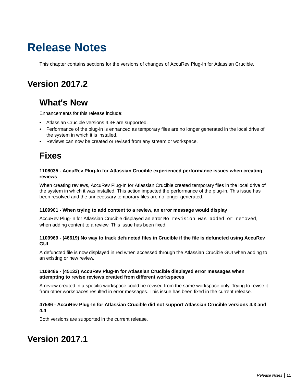# <span id="page-10-0"></span>**Release Notes**

This chapter contains sections for the versions of changes of AccuRev Plug-In for Atlassian Crucible.

## **Version 2017.2**

## **What's New**

Enhancements for this release include:

- Atlassian Crucible versions 4.3+ are supported.
- Performance of the plug-in is enhanced as temporary files are no longer generated in the local drive of the system in which it is installed.
- Reviews can now be created or revised from any stream or workspace.

## **Fixes**

#### **1108035 - AccuRev Plug-In for Atlassian Crucible experienced performance issues when creating reviews**

When creating reviews, AccuRev Plug-In for Atlassian Crucible created temporary files in the local drive of the system in which it was installed. This action impacted the performance of the plug-in. This issue has been resolved and the unnecessary temporary files are no longer generated.

#### **1109901 - When trying to add content to a review, an error message would display**

AccuRev Plug-In for Atlassian Crucible displayed an error No revision was added or removed, when adding content to a review. This issue has been fixed.

#### **1109969 - (46619) No way to track defuncted files in Crucible if the file is defuncted using AccuRev GUI**

A defuncted file is now displayed in red when accessed through the Atlassian Crucible GUI when adding to an existing or new review.

#### **1108486 - (45133) AccuRev Plug-In for Atlassian Crucible displayed error messages when attempting to revise reviews created from different workspaces**

A review created in a specific workspace could be revised from the same workspace only. Trying to revise it from other workspaces resulted in error messages. This issue has been fixed in the current release.

#### **47586 - AccuRev Plug-In for Atlassian Crucible did not support Atlassian Crucible versions 4.3 and 4.4**

Both versions are supported in the current release.

### **Version 2017.1**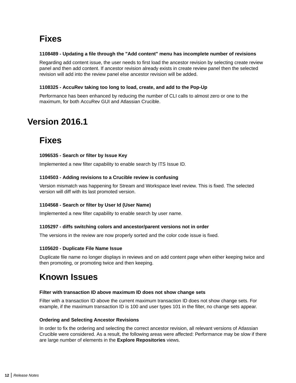## <span id="page-11-0"></span>**Fixes**

#### **1108489 - Updating a file through the "Add content" menu has incomplete number of revisions**

Regarding add content issue, the user needs to first load the ancestor revision by selecting create review panel and then add content. If ancestor revision already exists in create review panel then the selected revision will add into the review panel else ancestor revision will be added.

#### **1108325 - AccuRev taking too long to load, create, and add to the Pop-Up**

Performance has been enhanced by reducing the number of CLI calls to almost zero or one to the maximum, for both AccuRev GUI and Atlassian Crucible.

## **Version 2016.1**

## **Fixes**

#### **1096535 - Search or filter by Issue Key**

Implemented a new filter capability to enable search by ITS Issue ID.

#### **1104503 - Adding revisions to a Crucible review is confusing**

Version mismatch was happening for Stream and Workspace level review. This is fixed. The selected version will diff with its last promoted version.

#### **1104568 - Search or filter by User Id (User Name)**

Implemented a new filter capability to enable search by user name.

#### **1105297 - diffs switching colors and ancestor/parent versions not in order**

The versions in the review are now properly sorted and the color code issue is fixed.

#### **1105620 - Duplicate File Name Issue**

Duplicate file name no longer displays in reviews and on add content page when either keeping twice and then promoting, or promoting twice and then keeping.

### **Known Issues**

#### **Filter with transaction ID above maximum ID does not show change sets**

Filter with a transaction ID above the current maximum transaction ID does not show change sets. For example, if the maximum transaction ID is 100 and user types 101 in the filter, no change sets appear.

#### **Ordering and Selecting Ancestor Revisions**

In order to fix the ordering and selecting the correct ancestor revision, all relevant versions of Atlassian Crucible were considered. As a result, the following areas were affected: Performance may be slow if there are large number of elements in the **Explore Repositories** views.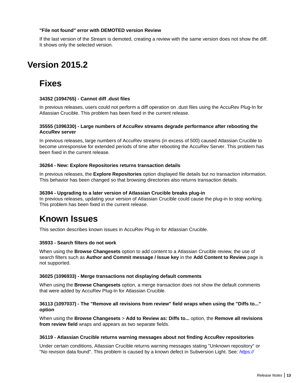#### <span id="page-12-0"></span>**"File not found" error with DEMOTED version Review**

If the last version of the Stream is demoted, creating a review with the same version does not show the diff. It shows only the selected version.

## **Version 2015.2**

## **Fixes**

#### **34352 (1094765) - Cannot diff .dust files**

In previous releases, users could not perform a diff operation on .dust files using the AccuRev Plug-In for Atlassian Crucible. This problem has been fixed in the current release.

#### **35555 (1096330) - Large numbers of AccuRev streams degrade performance after rebooting the AccuRev server**

In previous releases, large numbers of AccuRev streams (in excess of 500) caused Atlassian Crucible to become unresponsive for extended periods of time after rebooting the AccuRev Server. This problem has been fixed in the current release.

#### **36264 - New: Explore Repositories returns transaction details**

In previous releases, the **Explore Repositories** option displayed file details but no transaction information. This behavior has been changed so that browsing directories also returns transaction details.

#### **36394 - Upgrading to a later version of Atlassian Crucible breaks plug-in**

In previous releases, updating your version of Atlassian Crucible could cause the plug-in to stop working. This problem has been fixed in the current release.

### **Known Issues**

This section describes known issues in AccuRev Plug-In for Atlassian Crucible.

#### **35933 - Search filters do not work**

When using the **Browse Changesets** option to add content to a Atlassian Crucible review, the use of search filters such as **Author and Commit message / Issue key** in the **Add Content to Review** page is not supported.

#### **36025 (1096933) - Merge transactions not displaying default comments**

When using the **Browse Changesets** option, a merge transaction does not show the default comments that were added by AccuRev Plug-In for Atlassian Crucible.

#### **36113 (1097037) - The "Remove all revisions from review" field wraps when using the "Diffs to..." option**

When using the **Browse Changesets** > **Add to Review as: Diffs to...** option, the **Remove all revisions from review field** wraps and appears as two separate fields.

#### **36119 - Atlassian Crucible returns warning messages about not finding AccuRev repositories**

Under certain conditions, Atlassian Crucible returns warning messages stating "Unknown repository" or "No revision data found". This problem is caused by a known defect in Subversion Light. See: [https://](https://community.atlassian.com/t5/FishEye-Crucible-questions/Changesets-in-Fisheye-3-20-for-Subversion-Repository-don-t-load/qaq-p/457489)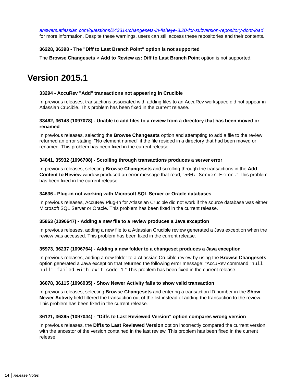<span id="page-13-0"></span>[answers.atlassian.com/questions/243314/changesets-in-fisheye-3.20-for-subversion-repository-dont-load](https://community.atlassian.com/t5/FishEye-Crucible-questions/Changesets-in-Fisheye-3-20-for-Subversion-Repository-don-t-load/qaq-p/457489) for more information. Despite these warnings, users can still access these repositories and their contents.

#### **36228, 36398 - The "Diff to Last Branch Point" option is not supported**

The **Browse Changesets** > **Add to Review as: Diff to Last Branch Point** option is not supported.

### **Version 2015.1**

#### **33294 - AccuRev "Add" transactions not appearing in Crucible**

In previous releases, transactions associated with adding files to an AccuRev workspace did not appear in Atlassian Crucible. This problem has been fixed in the current release.

#### **33462, 36148 (1097078) - Unable to add files to a review from a directory that has been moved or renamed**

In previous releases, selecting the **Browse Changesets** option and attempting to add a file to the review returned an error stating: "No element named" if the file resided in a directory that had been moved or renamed. This problem has been fixed in the current release.

#### **34041, 35932 (1096708) - Scrolling through transactions produces a server error**

In previous releases, selecting **Browse Changesets** and scrolling through the transactions in the **Add Content to Review** window produced an error message that read, "500: Server Error." This problem has been fixed in the current release.

#### **34636 - Plug-in not working with Microsoft SQL Server or Oracle databases**

In previous releases, AccuRev Plug-In for Atlassian Crucible did not work if the source database was either Microsoft SQL Server or Oracle. This problem has been fixed in the current release.

#### **35863 (1096647) - Adding a new file to a review produces a Java exception**

In previous releases, adding a new file to a Atlassian Crucible review generated a Java exception when the review was accessed. This problem has been fixed in the current release.

#### **35973, 36237 (1096764) - Adding a new folder to a changeset produces a Java exception**

In previous releases, adding a new folder to a Atlassian Crucible review by using the **Browse Changesets** option generated a Java exception that returned the following error message: "AccuRev command "null null" failed with exit code 1." This problem has been fixed in the current release.

#### **36078, 36115 (1096935) - Show Newer Activity fails to show valid transaction**

In previous releases, selecting **Browse Changesets** and entering a transaction ID number in the **Show Newer Activity** field filtered the transaction out of the list instead of adding the transaction to the review. This problem has been fixed in the current release.

#### **36121, 36395 (1097044) - "Diffs to Last Reviewed Version" option compares wrong version**

In previous releases, the **Diffs to Last Reviewed Version** option incorrectly compared the current version with the ancestor of the version contained in the last review. This problem has been fixed in the current release.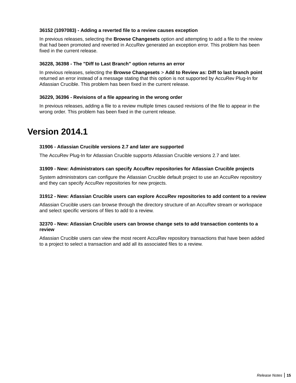#### <span id="page-14-0"></span>**36152 (1097083) - Adding a reverted file to a review causes exception**

In previous releases, selecting the **Browse Changesets** option and attempting to add a file to the review that had been promoted and reverted in AccuRev generated an exception error. This problem has been fixed in the current release.

#### **36228, 36398 - The "Diff to Last Branch" option returns an error**

In previous releases, selecting the **Browse Changesets** > **Add to Review as: Diff to last branch point** returned an error instead of a message stating that this option is not supported by AccuRev Plug-In for Atlassian Crucible. This problem has been fixed in the current release.

#### **36229, 36396 - Revisions of a file appearing in the wrong order**

In previous releases, adding a file to a review multiple times caused revisions of the file to appear in the wrong order. This problem has been fixed in the current release.

### **Version 2014.1**

#### **31906 - Atlassian Crucible versions 2.7 and later are supported**

The AccuRev Plug-In for Atlassian Crucible supports Atlassian Crucible versions 2.7 and later.

#### **31909 - New: Administrators can specify AccuRev repositories for Atlassian Crucible projects**

System administrators can configure the Atlassian Crucible default project to use an AccuRev repository and they can specify AccuRev repositories for new projects.

#### **31912 - New: Atlassian Crucible users can explore AccuRev repositories to add content to a review**

Atlassian Crucible users can browse through the directory structure of an AccuRev stream or workspace and select specific versions of files to add to a review.

#### **32370 - New: Atlassian Crucible users can browse change sets to add transaction contents to a review**

Atlassian Crucible users can view the most recent AccuRev repository transactions that have been added to a project to select a transaction and add all its associated files to a review.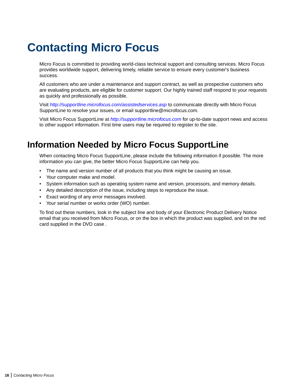# <span id="page-15-0"></span>**Contacting Micro Focus**

Micro Focus is committed to providing world-class technical support and consulting services. Micro Focus provides worldwide support, delivering timely, reliable service to ensure every customer's business success.

All customers who are under a maintenance and support contract, as well as prospective customers who are evaluating products, are eligible for customer support. Our highly trained staff respond to your requests as quickly and professionally as possible.

Visit <http://supportline.microfocus.com/assistedservices.asp> to communicate directly with Micro Focus SupportLine to resolve your issues, or email supportline@microfocus.com.

Visit Micro Focus SupportLine at <http://supportline.microfocus.com> for up-to-date support news and access to other support information. First time users may be required to register to the site.

## **Information Needed by Micro Focus SupportLine**

When contacting Micro Focus SupportLine, please include the following information if possible. The more information you can give, the better Micro Focus SupportLine can help you.

- The name and version number of all products that you think might be causing an issue.
- Your computer make and model.
- System information such as operating system name and version, processors, and memory details.
- Any detailed description of the issue, including steps to reproduce the issue.
- Exact wording of any error messages involved.
- Your serial number or works order (WO) number.

To find out these numbers, look in the subject line and body of your Electronic Product Delivery Notice email that you received from Micro Focus, or on the box in which the product was supplied, and on the red card supplied in the DVD case .